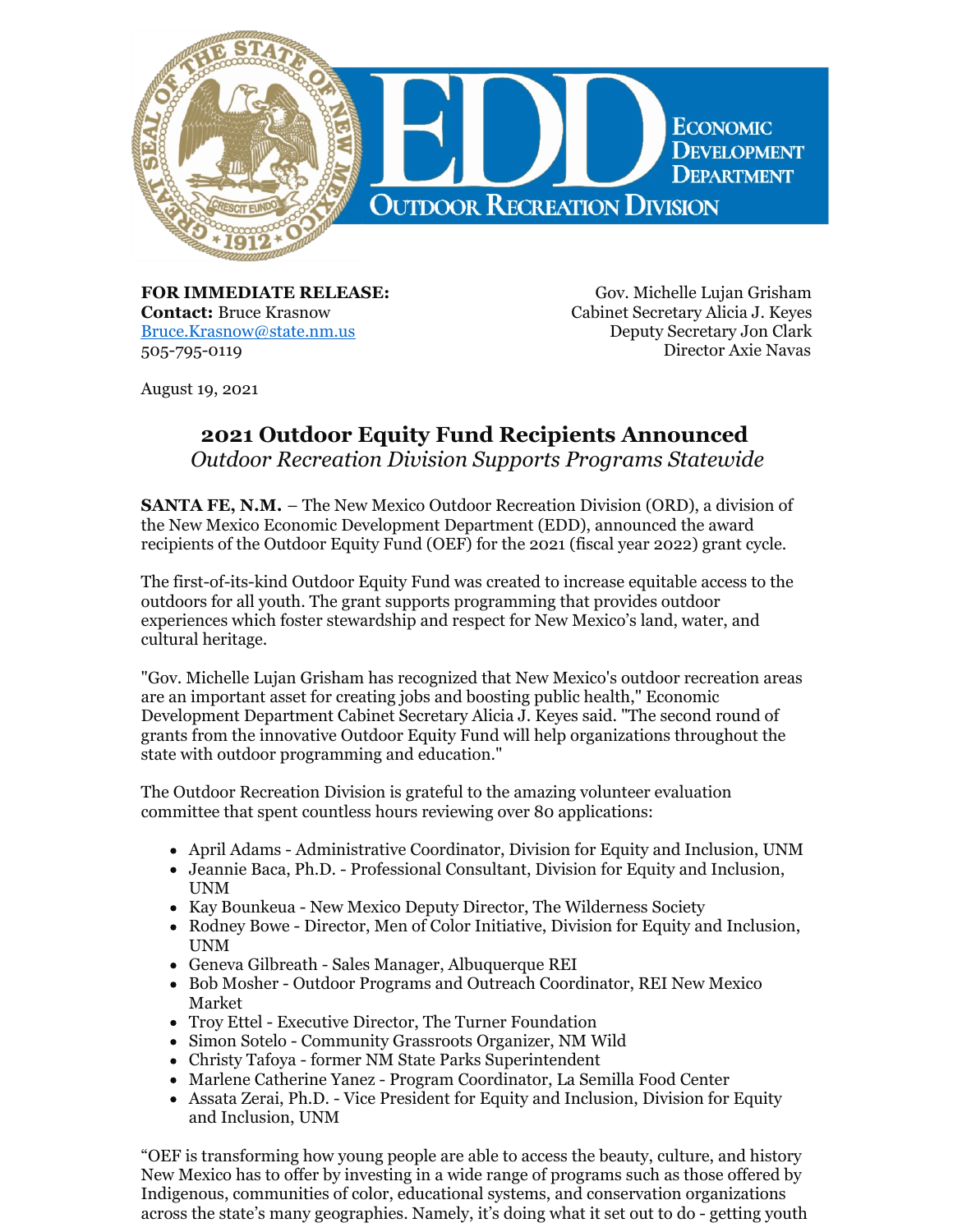

**FOR IMMEDIATE RELEASE: Contact:** Bruce Krasnow [Bruce.Krasnow@state.nm.us](mailto:Bruce.Krasnow@state.nm.us) 505-795-0119

Gov. Michelle Lujan Grisham Cabinet Secretary Alicia J. Keyes Deputy Secretary Jon Clark Director Axie Navas

August 19, 2021

# **2021 Outdoor Equity Fund Recipients Announced**

*Outdoor Recreation Division Supports Programs Statewide*

**SANTA FE, N.M.** – The New Mexico Outdoor Recreation Division (ORD), a division of the New Mexico Economic Development Department (EDD), announced the award recipients of the Outdoor Equity Fund (OEF) for the 2021 (fiscal year 2022) grant cycle.

The first-of-its-kind Outdoor Equity Fund was created to increase equitable access to the outdoors for all youth. The grant supports programming that provides outdoor experiences which foster stewardship and respect for New Mexico's land, water, and cultural heritage.

"Gov. Michelle Lujan Grisham has recognized that New Mexico's outdoor recreation areas are an important asset for creating jobs and boosting public health," Economic Development Department Cabinet Secretary Alicia J. Keyes said. "The second round of grants from the innovative Outdoor Equity Fund will help organizations throughout the state with outdoor programming and education."

The Outdoor Recreation Division is grateful to the amazing volunteer evaluation committee that spent countless hours reviewing over 80 applications:

- April Adams Administrative Coordinator, Division for Equity and Inclusion, UNM
- Jeannie Baca, Ph.D. Professional Consultant, Division for Equity and Inclusion, UNM
- Kay Bounkeua New Mexico Deputy Director, The Wilderness Society
- Rodney Bowe Director, Men of Color Initiative, Division for Equity and Inclusion, UNM
- Geneva Gilbreath Sales Manager, Albuquerque REI
- Bob Mosher Outdoor Programs and Outreach Coordinator, REI New Mexico Market
- Troy Ettel Executive Director, The Turner Foundation
- Simon Sotelo Community Grassroots Organizer, NM Wild
- Christy Tafoya former NM State Parks Superintendent
- Marlene Catherine Yanez Program Coordinator, La Semilla Food Center
- Assata Zerai, Ph.D. Vice President for Equity and Inclusion, Division for Equity and Inclusion, UNM

"OEF is transforming how young people are able to access the beauty, culture, and history New Mexico has to offer by investing in a wide range of programs such as those offered by Indigenous, communities of color, educational systems, and conservation organizations across the state's many geographies. Namely, it's doing what it set out to do - getting youth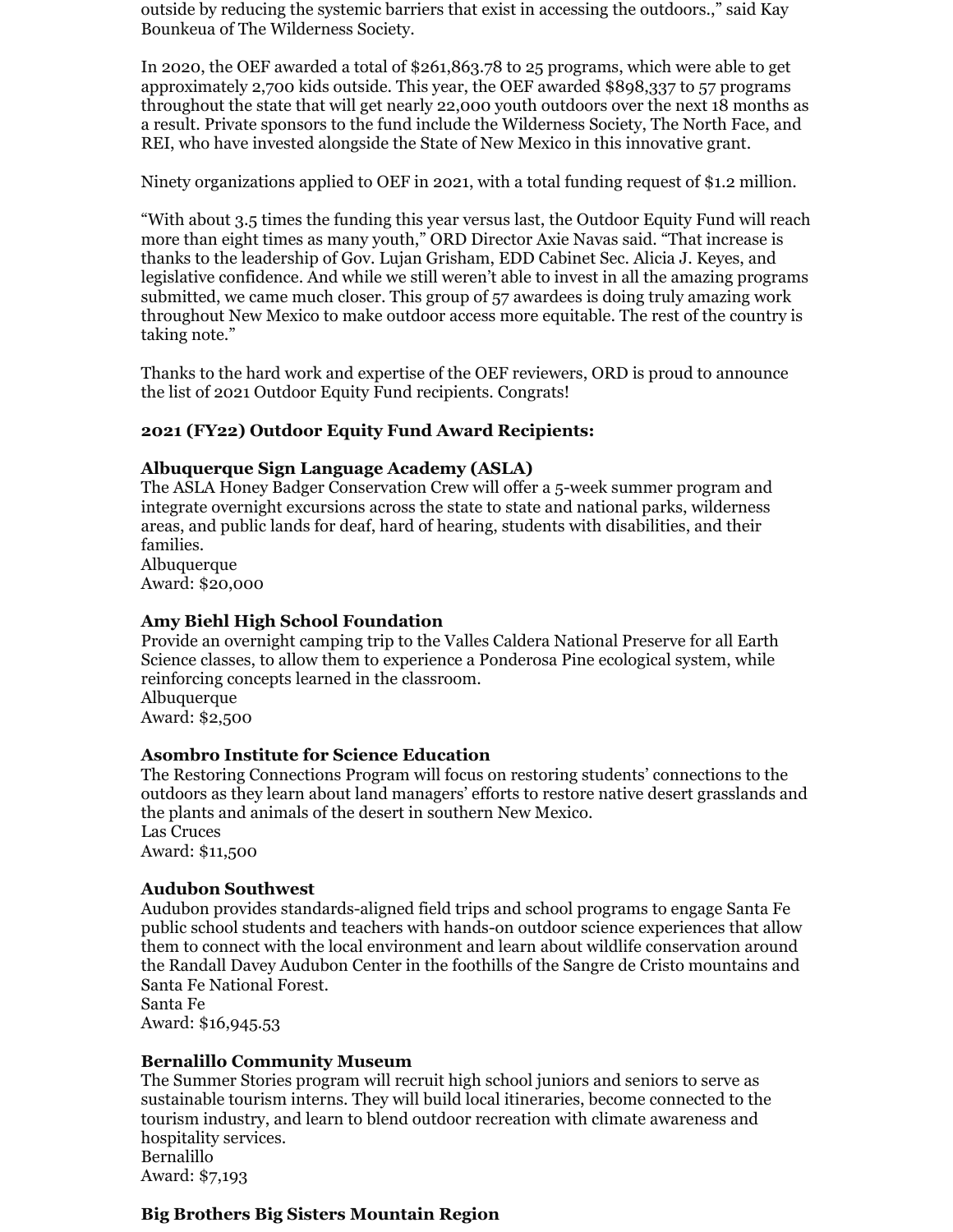outside by reducing the systemic barriers that exist in accessing the outdoors.," said Kay Bounkeua of The Wilderness Society.

In 2020, the OEF awarded a total of \$261,863.78 to 25 programs, which were able to get approximately 2,700 kids outside. This year, the OEF awarded \$898,337 to 57 programs throughout the state that will get nearly 22,000 youth outdoors over the next 18 months as a result. Private sponsors to the fund include the Wilderness Society, The North Face, and REI, who have invested alongside the State of New Mexico in this innovative grant.

Ninety organizations applied to OEF in 2021, with a total funding request of \$1.2 million.

"With about 3.5 times the funding this year versus last, the Outdoor Equity Fund will reach more than eight times as many youth," ORD Director Axie Navas said. "That increase is thanks to the leadership of Gov. Lujan Grisham, EDD Cabinet Sec. Alicia J. Keyes, and legislative confidence. And while we still weren't able to invest in all the amazing programs submitted, we came much closer. This group of 57 awardees is doing truly amazing work throughout New Mexico to make outdoor access more equitable. The rest of the country is taking note."

Thanks to the hard work and expertise of the OEF reviewers, ORD is proud to announce the list of 2021 Outdoor Equity Fund recipients. Congrats!

## **2021 (FY22) Outdoor Equity Fund Award Recipients:**

#### **Albuquerque Sign Language Academy (ASLA)**

The ASLA Honey Badger Conservation Crew will offer a 5-week summer program and integrate overnight excursions across the state to state and national parks, wilderness areas, and public lands for deaf, hard of hearing, students with disabilities, and their families.

Albuquerque Award: \$20,000

#### **Amy Biehl High School Foundation**

Provide an overnight camping trip to the Valles Caldera National Preserve for all Earth Science classes, to allow them to experience a Ponderosa Pine ecological system, while reinforcing concepts learned in the classroom.

Albuquerque Award: \$2,500

#### **Asombro Institute for Science Education**

The Restoring Connections Program will focus on restoring students' connections to the outdoors as they learn about land managers' efforts to restore native desert grasslands and the plants and animals of the desert in southern New Mexico. Las Cruces Award: \$11,500

#### **Audubon Southwest**

Audubon provides standards-aligned field trips and school programs to engage Santa Fe public school students and teachers with hands-on outdoor science experiences that allow them to connect with the local environment and learn about wildlife conservation around the Randall Davey Audubon Center in the foothills of the Sangre de Cristo mountains and Santa Fe National Forest.

Santa Fe Award: \$16,945.53

#### **Bernalillo Community Museum**

The Summer Stories program will recruit high school juniors and seniors to serve as sustainable tourism interns. They will build local itineraries, become connected to the tourism industry, and learn to blend outdoor recreation with climate awareness and hospitality services. Bernalillo Award: \$7,193

## **Big Brothers Big Sisters Mountain Region**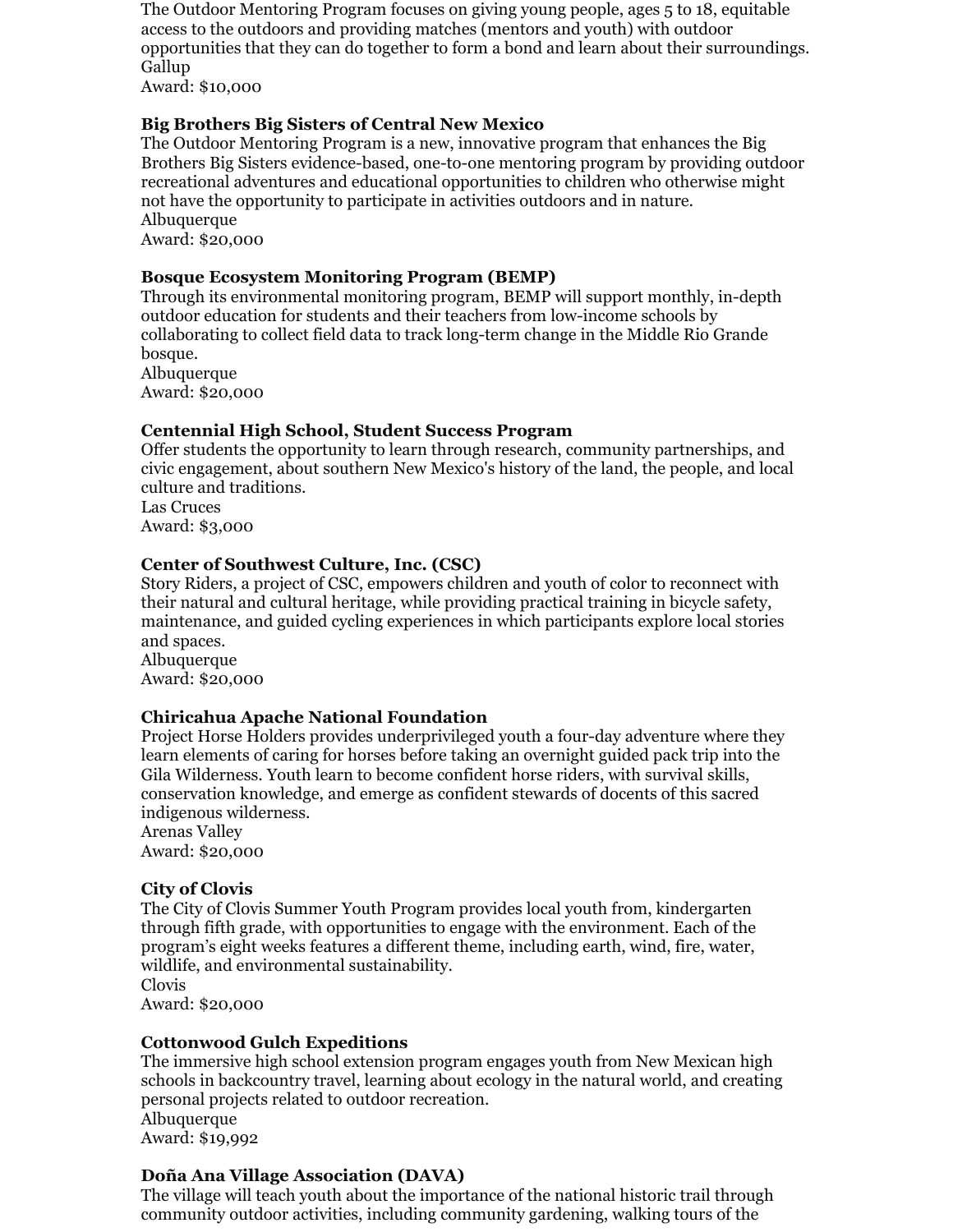The Outdoor Mentoring Program focuses on giving young people, ages 5 to 18, equitable access to the outdoors and providing matches (mentors and youth) with outdoor opportunities that they can do together to form a bond and learn about their surroundings. Gallup

Award: \$10,000

## **Big Brothers Big Sisters of Central New Mexico**

The Outdoor Mentoring Program is a new, innovative program that enhances the Big Brothers Big Sisters evidence-based, one-to-one mentoring program by providing outdoor recreational adventures and educational opportunities to children who otherwise might not have the opportunity to participate in activities outdoors and in nature. Albuquerque Award: \$20,000

## **Bosque Ecosystem Monitoring Program (BEMP)**

Through its environmental monitoring program, BEMP will support monthly, in-depth outdoor education for students and their teachers from low-income schools by collaborating to collect field data to track long-term change in the Middle Rio Grande bosque. Albuquerque Award: \$20,000

## **Centennial High School, Student Success Program**

Offer students the opportunity to learn through research, community partnerships, and civic engagement, about southern New Mexico's history of the land, the people, and local culture and traditions. Las Cruces

Award: \$3,000

## **Center of Southwest Culture, Inc. (CSC)**

Story Riders, a project of CSC, empowers children and youth of color to reconnect with their natural and cultural heritage, while providing practical training in bicycle safety, maintenance, and guided cycling experiences in which participants explore local stories and spaces.

Albuquerque Award: \$20,000

## **Chiricahua Apache National Foundation**

Project Horse Holders provides underprivileged youth a four-day adventure where they learn elements of caring for horses before taking an overnight guided pack trip into the Gila Wilderness. Youth learn to become confident horse riders, with survival skills, conservation knowledge, and emerge as confident stewards of docents of this sacred indigenous wilderness.

Arenas Valley Award: \$20,000

## **City of Clovis**

The City of Clovis Summer Youth Program provides local youth from, kindergarten through fifth grade, with opportunities to engage with the environment. Each of the program's eight weeks features a different theme, including earth, wind, fire, water, wildlife, and environmental sustainability.

Clovis

Award: \$20,000

## **Cottonwood Gulch Expeditions**

The immersive high school extension program engages youth from New Mexican high schools in backcountry travel, learning about ecology in the natural world, and creating personal projects related to outdoor recreation. Albuquerque

Award: \$19,992

## **Doña Ana Village Association (DAVA)**

The village will teach youth about the importance of the national historic trail through community outdoor activities, including community gardening, walking tours of the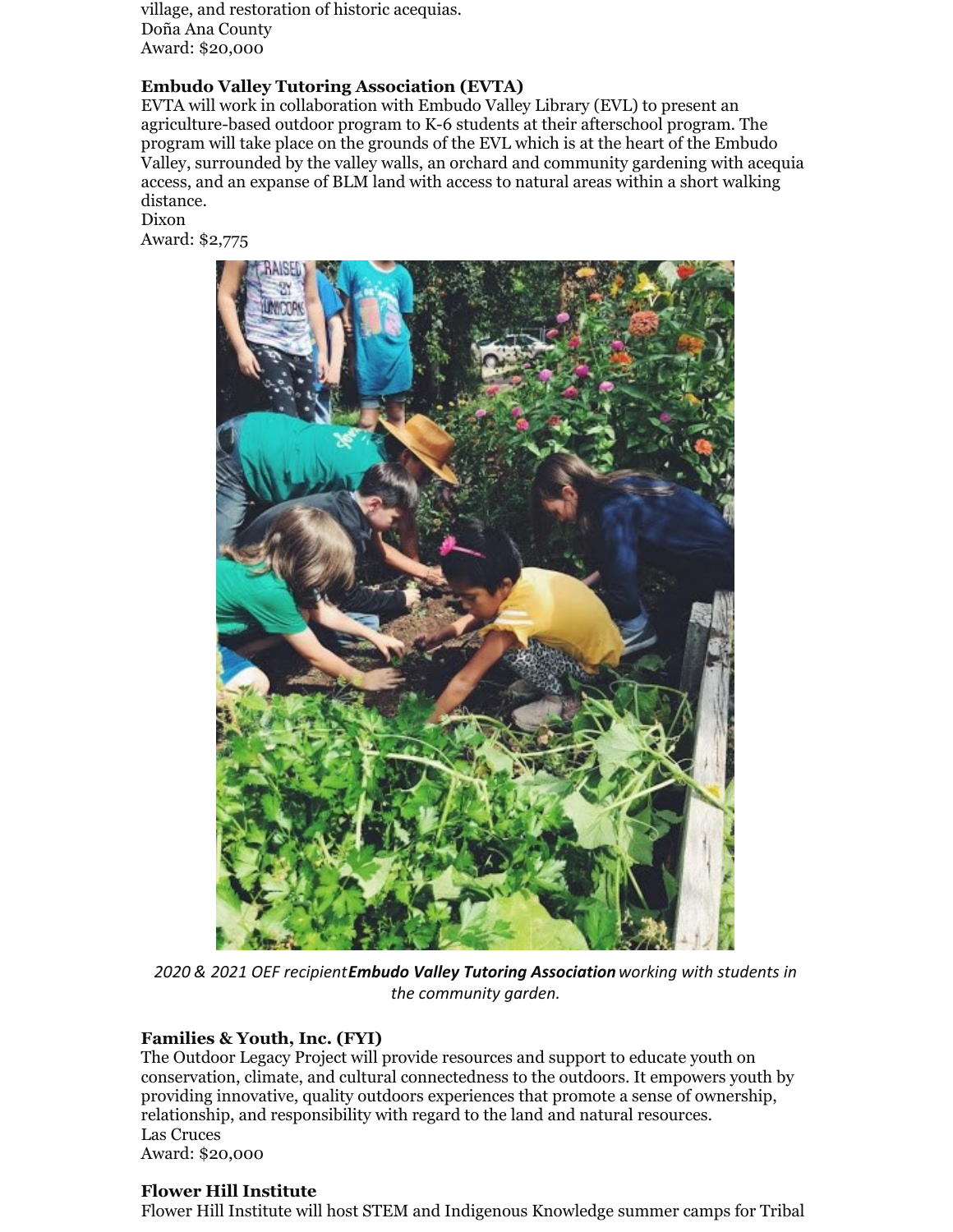village, and restoration of historic acequias. Doña Ana County Award: \$20,000

## **Embudo Valley Tutoring Association (EVTA)**

EVTA will work in collaboration with Embudo Valley Library (EVL) to present an agriculture-based outdoor program to K-6 students at their afterschool program. The program will take place on the grounds of the EVL which is at the heart of the Embudo Valley, surrounded by the valley walls, an orchard and community gardening with acequia access, and an expanse of BLM land with access to natural areas within a short walking distance.

Dixon Award: \$2,775



*2020 & 2021 OEF recipientEmbudo Valley Tutoring Associationworking with students in the community garden.*

## **Families & Youth, Inc. (FYI)**

The Outdoor Legacy Project will provide resources and support to educate youth on conservation, climate, and cultural connectedness to the outdoors. It empowers youth by providing innovative, quality outdoors experiences that promote a sense of ownership, relationship, and responsibility with regard to the land and natural resources. Las Cruces Award: \$20,000

## **Flower Hill Institute**

Flower Hill Institute will host STEM and Indigenous Knowledge summer camps for Tribal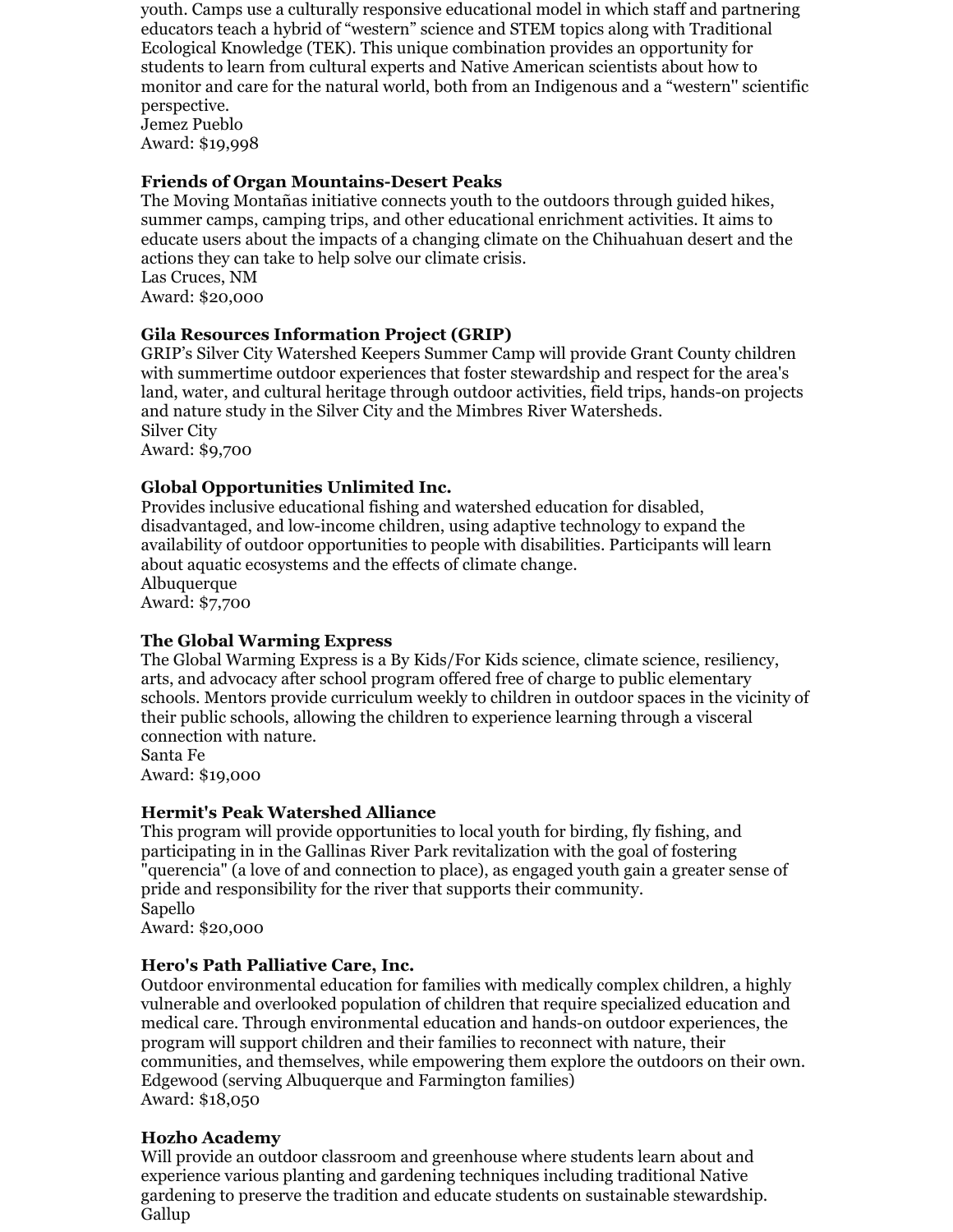youth. Camps use a culturally responsive educational model in which staff and partnering educators teach a hybrid of "western" science and STEM topics along with Traditional Ecological Knowledge (TEK). This unique combination provides an opportunity for students to learn from cultural experts and Native American scientists about how to monitor and care for the natural world, both from an Indigenous and a "western'' scientific perspective. Jemez Pueblo

Award: \$19,998

## **Friends of Organ Mountains-Desert Peaks**

The Moving Montañas initiative connects youth to the outdoors through guided hikes, summer camps, camping trips, and other educational enrichment activities. It aims to educate users about the impacts of a changing climate on the Chihuahuan desert and the actions they can take to help solve our climate crisis. Las Cruces, NM

Award: \$20,000

## **Gila Resources Information Project (GRIP)**

GRIP's Silver City Watershed Keepers Summer Camp will provide Grant County children with summertime outdoor experiences that foster stewardship and respect for the area's land, water, and cultural heritage through outdoor activities, field trips, hands-on projects and nature study in the Silver City and the Mimbres River Watersheds. Silver City

Award: \$9,700

#### **Global Opportunities Unlimited Inc.**

Provides inclusive educational fishing and watershed education for disabled, disadvantaged, and low-income children, using adaptive technology to expand the availability of outdoor opportunities to people with disabilities. Participants will learn about aquatic ecosystems and the effects of climate change. Albuquerque Award: \$7,700

#### **The Global Warming Express**

The Global Warming Express is a By Kids/For Kids science, climate science, resiliency, arts, and advocacy after school program offered free of charge to public elementary schools. Mentors provide curriculum weekly to children in outdoor spaces in the vicinity of their public schools, allowing the children to experience learning through a visceral connection with nature.

Santa Fe Award: \$19,000

## **Hermit's Peak Watershed Alliance**

This program will provide opportunities to local youth for birding, fly fishing, and participating in in the Gallinas River Park revitalization with the goal of fostering "querencia" (a love of and connection to place), as engaged youth gain a greater sense of pride and responsibility for the river that supports their community. Sapello

Award: \$20,000

## **Hero's Path Palliative Care, Inc.**

Outdoor environmental education for families with medically complex children, a highly vulnerable and overlooked population of children that require specialized education and medical care. Through environmental education and hands-on outdoor experiences, the program will support children and their families to reconnect with nature, their communities, and themselves, while empowering them explore the outdoors on their own. Edgewood (serving Albuquerque and Farmington families) Award: \$18,050

## **Hozho Academy**

Will provide an outdoor classroom and greenhouse where students learn about and experience various planting and gardening techniques including traditional Native gardening to preserve the tradition and educate students on sustainable stewardship. Gallup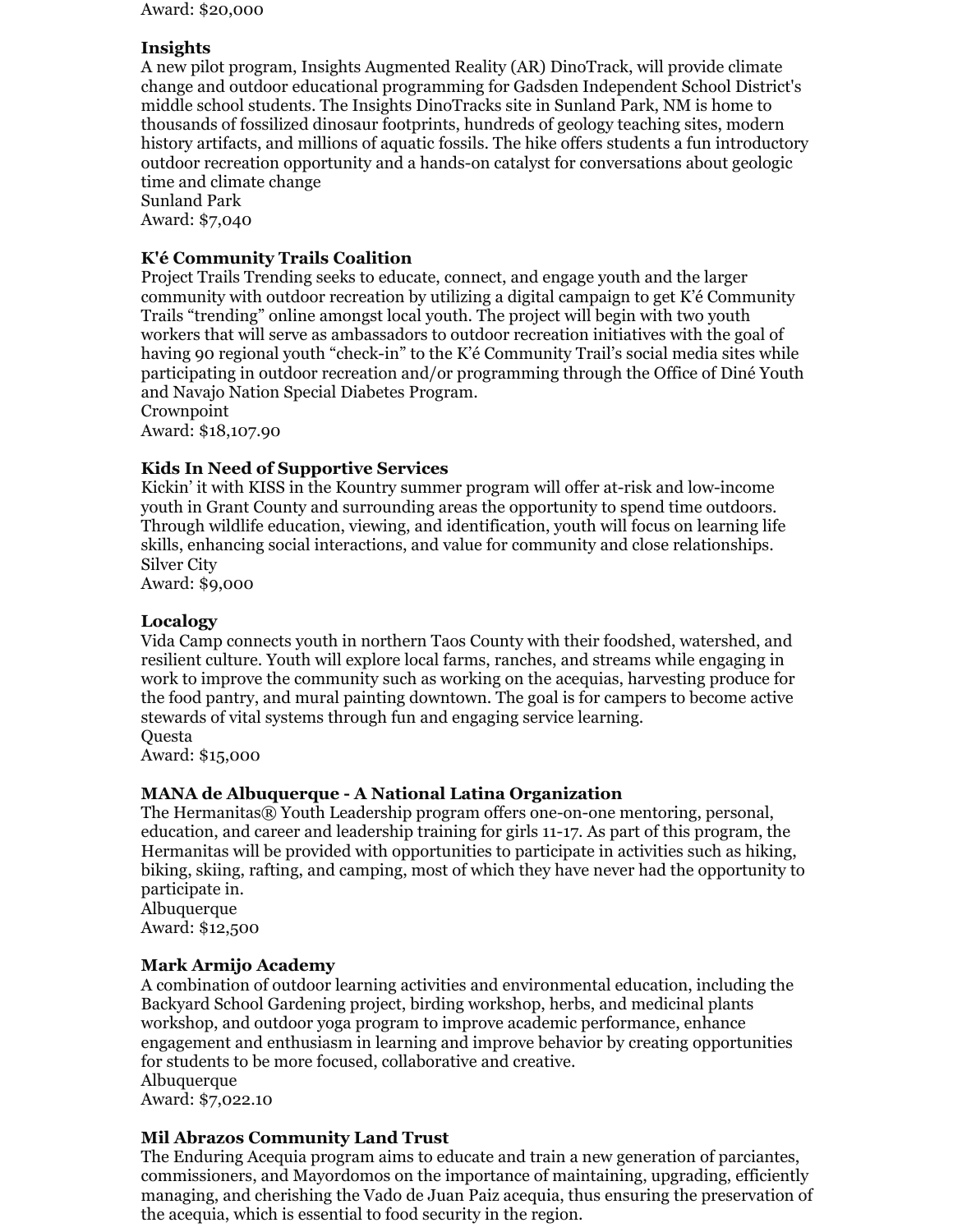Award: \$20,000

## **Insights**

A new pilot program, Insights Augmented Reality (AR) DinoTrack, will provide climate change and outdoor educational programming for Gadsden Independent School District's middle school students. The Insights DinoTracks site in Sunland Park, NM is home to thousands of fossilized dinosaur footprints, hundreds of geology teaching sites, modern history artifacts, and millions of aquatic fossils. The hike offers students a fun introductory outdoor recreation opportunity and a hands-on catalyst for conversations about geologic time and climate change

Sunland Park Award: \$7,040

## **K'é Community Trails Coalition**

Project Trails Trending seeks to educate, connect, and engage youth and the larger community with outdoor recreation by utilizing a digital campaign to get K'é Community Trails "trending" online amongst local youth. The project will begin with two youth workers that will serve as ambassadors to outdoor recreation initiatives with the goal of having 90 regional youth "check-in" to the K'é Community Trail's social media sites while participating in outdoor recreation and/or programming through the Office of Diné Youth and Navajo Nation Special Diabetes Program.

Crownpoint

Award: \$18,107.90

## **Kids In Need of Supportive Services**

Kickin' it with KISS in the Kountry summer program will offer at-risk and low-income youth in Grant County and surrounding areas the opportunity to spend time outdoors. Through wildlife education, viewing, and identification, youth will focus on learning life skills, enhancing social interactions, and value for community and close relationships. Silver City

Award: \$9,000

## **Localogy**

Vida Camp connects youth in northern Taos County with their foodshed, watershed, and resilient culture. Youth will explore local farms, ranches, and streams while engaging in work to improve the community such as working on the acequias, harvesting produce for the food pantry, and mural painting downtown. The goal is for campers to become active stewards of vital systems through fun and engaging service learning. **Ouesta** 

Award: \$15,000

## **MANA de Albuquerque - A National Latina Organization**

The Hermanitas® Youth Leadership program offers one-on-one mentoring, personal, education, and career and leadership training for girls 11-17. As part of this program, the Hermanitas will be provided with opportunities to participate in activities such as hiking, biking, skiing, rafting, and camping, most of which they have never had the opportunity to participate in.

Albuquerque Award: \$12,500

## **Mark Armijo Academy**

A combination of outdoor learning activities and environmental education, including the Backyard School Gardening project, birding workshop, herbs, and medicinal plants workshop, and outdoor yoga program to improve academic performance, enhance engagement and enthusiasm in learning and improve behavior by creating opportunities for students to be more focused, collaborative and creative. Albuquerque Award: \$7,022.10

## **Mil Abrazos Community Land Trust**

The Enduring Acequia program aims to educate and train a new generation of parciantes, commissioners, and Mayordomos on the importance of maintaining, upgrading, efficiently managing, and cherishing the Vado de Juan Paiz acequia, thus ensuring the preservation of the acequia, which is essential to food security in the region.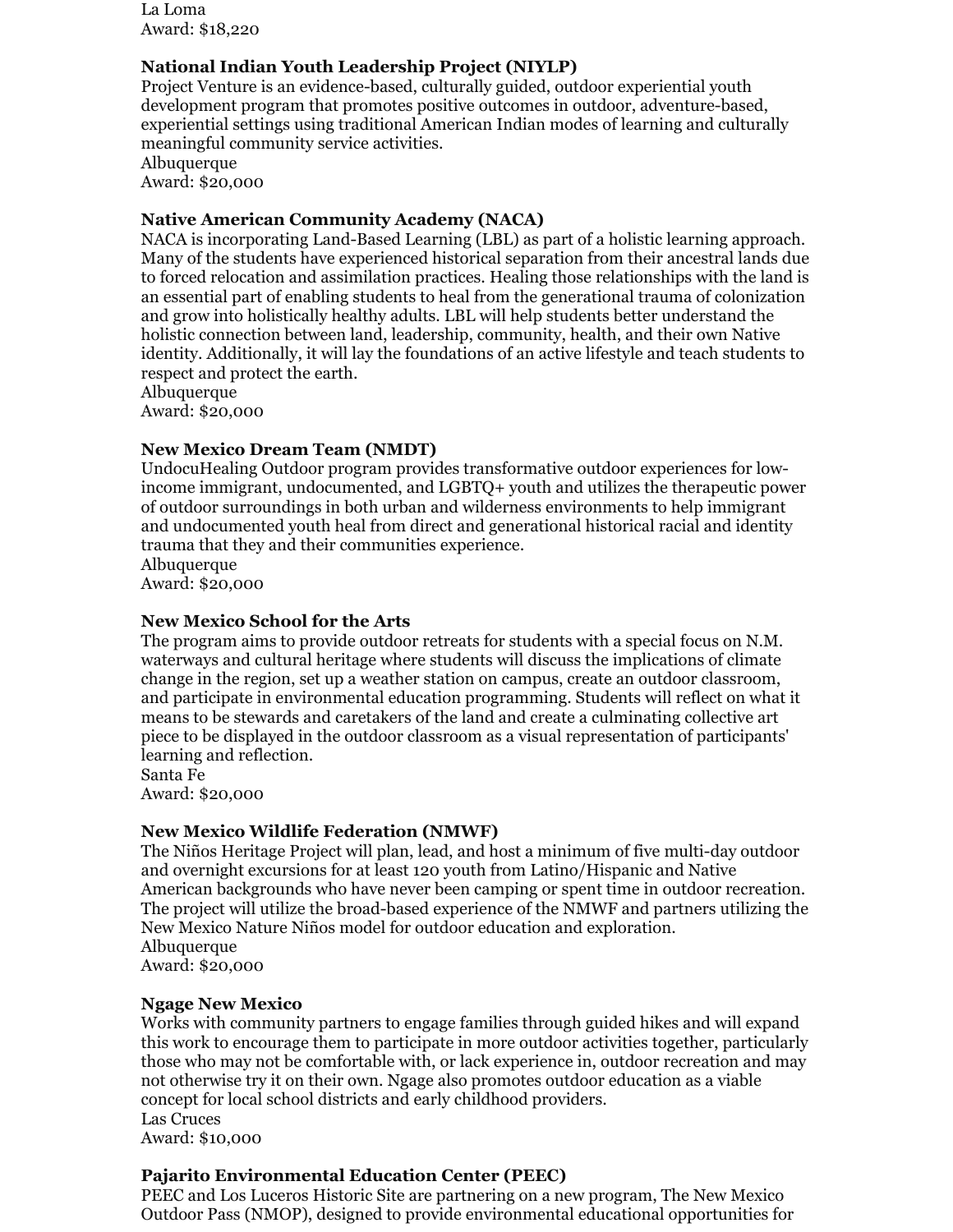La Loma Award: \$18,220

#### **National Indian Youth Leadership Project (NIYLP)**

Project Venture is an evidence-based, culturally guided, outdoor experiential youth development program that promotes positive outcomes in outdoor, adventure-based, experiential settings using traditional American Indian modes of learning and culturally meaningful community service activities. Albuquerque

Award: \$20,000

#### **Native American Community Academy (NACA)**

NACA is incorporating Land-Based Learning (LBL) as part of a holistic learning approach. Many of the students have experienced historical separation from their ancestral lands due to forced relocation and assimilation practices. Healing those relationships with the land is an essential part of enabling students to heal from the generational trauma of colonization and grow into holistically healthy adults. LBL will help students better understand the holistic connection between land, leadership, community, health, and their own Native identity. Additionally, it will lay the foundations of an active lifestyle and teach students to respect and protect the earth.

Albuquerque Award: \$20,000

## **New Mexico Dream Team (NMDT)**

UndocuHealing Outdoor program provides transformative outdoor experiences for lowincome immigrant, undocumented, and LGBTQ+ youth and utilizes the therapeutic power of outdoor surroundings in both urban and wilderness environments to help immigrant and undocumented youth heal from direct and generational historical racial and identity trauma that they and their communities experience.

Albuquerque Award: \$20,000

#### **New Mexico School for the Arts**

The program aims to provide outdoor retreats for students with a special focus on N.M. waterways and cultural heritage where students will discuss the implications of climate change in the region, set up a weather station on campus, create an outdoor classroom, and participate in environmental education programming. Students will reflect on what it means to be stewards and caretakers of the land and create a culminating collective art piece to be displayed in the outdoor classroom as a visual representation of participants' learning and reflection.

Santa Fe Award: \$20,000

## **New Mexico Wildlife Federation (NMWF)**

The Niños Heritage Project will plan, lead, and host a minimum of five multi-day outdoor and overnight excursions for at least 120 youth from Latino/Hispanic and Native American backgrounds who have never been camping or spent time in outdoor recreation. The project will utilize the broad-based experience of the NMWF and partners utilizing the New Mexico Nature Niños model for outdoor education and exploration. Albuquerque Award: \$20,000

## **Ngage New Mexico**

Works with community partners to engage families through guided hikes and will expand this work to encourage them to participate in more outdoor activities together, particularly those who may not be comfortable with, or lack experience in, outdoor recreation and may not otherwise try it on their own. Ngage also promotes outdoor education as a viable concept for local school districts and early childhood providers. Las Cruces Award: \$10,000

## **Pajarito Environmental Education Center (PEEC)**

PEEC and Los Luceros Historic Site are partnering on a new program, The New Mexico Outdoor Pass (NMOP), designed to provide environmental educational opportunities for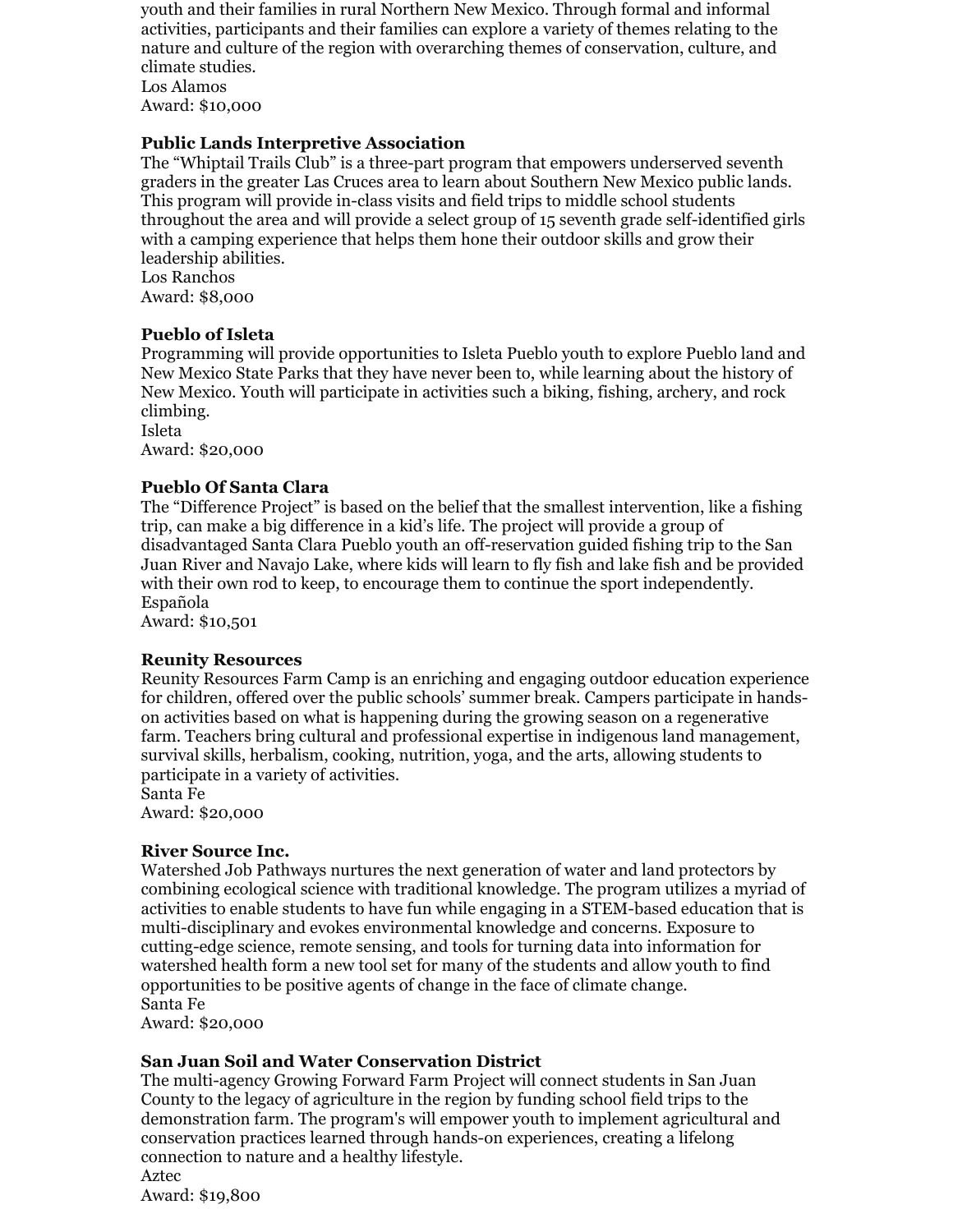youth and their families in rural Northern New Mexico. Through formal and informal activities, participants and their families can explore a variety of themes relating to the nature and culture of the region with overarching themes of conservation, culture, and climate studies.

Los Alamos Award: \$10,000

## **Public Lands Interpretive Association**

The "Whiptail Trails Club" is a three-part program that empowers underserved seventh graders in the greater Las Cruces area to learn about Southern New Mexico public lands. This program will provide in-class visits and field trips to middle school students throughout the area and will provide a select group of 15 seventh grade self-identified girls with a camping experience that helps them hone their outdoor skills and grow their leadership abilities. Los Ranchos

Award: \$8,000

## **Pueblo of Isleta**

Programming will provide opportunities to Isleta Pueblo youth to explore Pueblo land and New Mexico State Parks that they have never been to, while learning about the history of New Mexico. Youth will participate in activities such a biking, fishing, archery, and rock climbing.

Isleta Award: \$20,000

#### **Pueblo Of Santa Clara**

The "Difference Project" is based on the belief that the smallest intervention, like a fishing trip, can make a big difference in a kid's life. The project will provide a group of disadvantaged Santa Clara Pueblo youth an off-reservation guided fishing trip to the San Juan River and Navajo Lake, where kids will learn to fly fish and lake fish and be provided with their own rod to keep, to encourage them to continue the sport independently. Española

Award: \$10,501

#### **Reunity Resources**

Reunity Resources Farm Camp is an enriching and engaging outdoor education experience for children, offered over the public schools' summer break. Campers participate in handson activities based on what is happening during the growing season on a regenerative farm. Teachers bring cultural and professional expertise in indigenous land management, survival skills, herbalism, cooking, nutrition, yoga, and the arts, allowing students to participate in a variety of activities.

Santa Fe

Award: \$20,000

## **River Source Inc.**

Watershed Job Pathways nurtures the next generation of water and land protectors by combining ecological science with traditional knowledge. The program utilizes a myriad of activities to enable students to have fun while engaging in a STEM-based education that is multi-disciplinary and evokes environmental knowledge and concerns. Exposure to cutting-edge science, remote sensing, and tools for turning data into information for watershed health form a new tool set for many of the students and allow youth to find opportunities to be positive agents of change in the face of climate change. Santa Fe

Award: \$20,000

## **San Juan Soil and Water Conservation District**

The multi-agency Growing Forward Farm Project will connect students in San Juan County to the legacy of agriculture in the region by funding school field trips to the demonstration farm. The program's will empower youth to implement agricultural and conservation practices learned through hands-on experiences, creating a lifelong connection to nature and a healthy lifestyle. Aztec

Award: \$19,800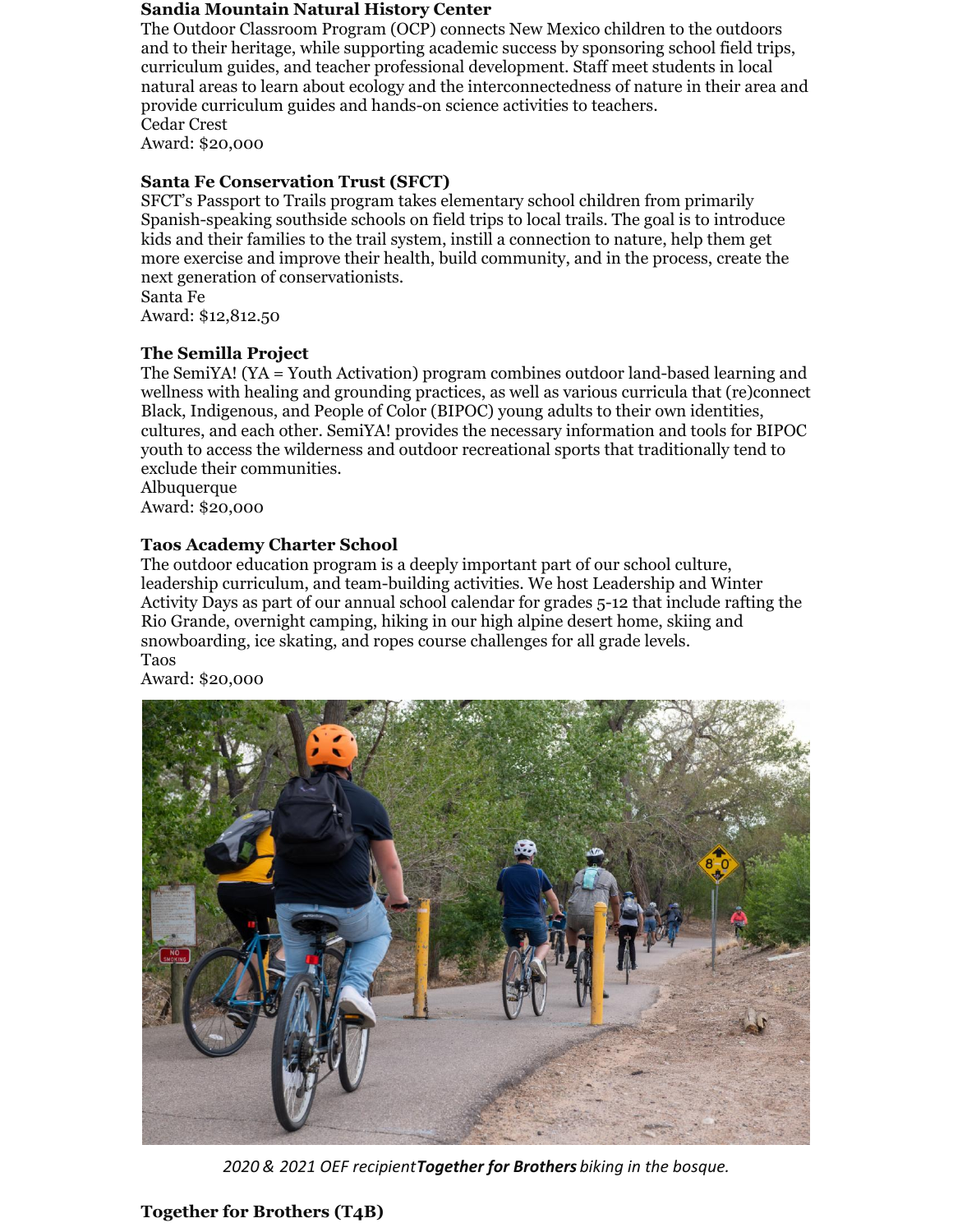#### **Sandia Mountain Natural History Center**

The Outdoor Classroom Program (OCP) connects New Mexico children to the outdoors and to their heritage, while supporting academic success by sponsoring school field trips, curriculum guides, and teacher professional development. Staff meet students in local natural areas to learn about ecology and the interconnectedness of nature in their area and provide curriculum guides and hands-on science activities to teachers. Cedar Crest

Award: \$20,000

#### **Santa Fe Conservation Trust (SFCT)**

SFCT's Passport to Trails program takes elementary school children from primarily Spanish-speaking southside schools on field trips to local trails. The goal is to introduce kids and their families to the trail system, instill a connection to nature, help them get more exercise and improve their health, build community, and in the process, create the next generation of conservationists. Santa Fe

Award: \$12,812.50

## **The Semilla Project**

The SemiYA! (YA = Youth Activation) program combines outdoor land-based learning and wellness with healing and grounding practices, as well as various curricula that (re)connect Black, Indigenous, and People of Color (BIPOC) young adults to their own identities, cultures, and each other. SemiYA! provides the necessary information and tools for BIPOC youth to access the wilderness and outdoor recreational sports that traditionally tend to exclude their communities.

Albuquerque Award: \$20,000

#### **Taos Academy Charter School**

The outdoor education program is a deeply important part of our school culture, leadership curriculum, and team-building activities. We host Leadership and Winter Activity Days as part of our annual school calendar for grades 5-12 that include rafting the Rio Grande, overnight camping, hiking in our high alpine desert home, skiing and snowboarding, ice skating, and ropes course challenges for all grade levels. Taos

Award: \$20,000



*2020 & 2021 OEF recipientTogether for Brothers biking in the bosque.*

## **Together for Brothers (T4B)**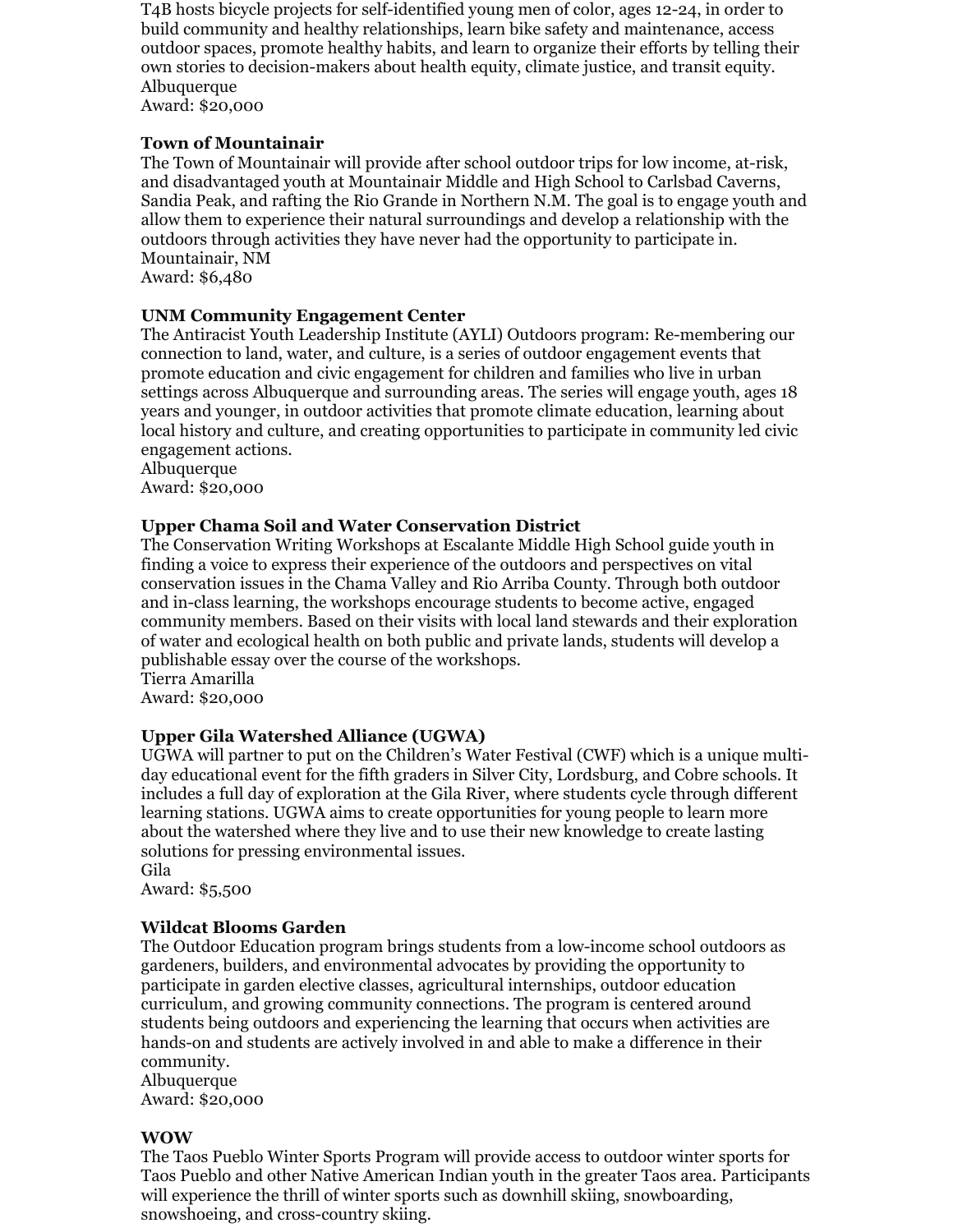T4B hosts bicycle projects for self-identified young men of color, ages 12-24, in order to build community and healthy relationships, learn bike safety and maintenance, access outdoor spaces, promote healthy habits, and learn to organize their efforts by telling their own stories to decision-makers about health equity, climate justice, and transit equity. Albuquerque

Award: \$20,000

## **Town of Mountainair**

The Town of Mountainair will provide after school outdoor trips for low income, at-risk, and disadvantaged youth at Mountainair Middle and High School to Carlsbad Caverns, Sandia Peak, and rafting the Rio Grande in Northern N.M. The goal is to engage youth and allow them to experience their natural surroundings and develop a relationship with the outdoors through activities they have never had the opportunity to participate in. Mountainair, NM

Award: \$6,480

## **UNM Community Engagement Center**

The Antiracist Youth Leadership Institute (AYLI) Outdoors program: Re-membering our connection to land, water, and culture, is a series of outdoor engagement events that promote education and civic engagement for children and families who live in urban settings across Albuquerque and surrounding areas. The series will engage youth, ages 18 years and younger, in outdoor activities that promote climate education, learning about local history and culture, and creating opportunities to participate in community led civic engagement actions.

Albuquerque Award: \$20,000

## **Upper Chama Soil and Water Conservation District**

The Conservation Writing Workshops at Escalante Middle High School guide youth in finding a voice to express their experience of the outdoors and perspectives on vital conservation issues in the Chama Valley and Rio Arriba County. Through both outdoor and in-class learning, the workshops encourage students to become active, engaged community members. Based on their visits with local land stewards and their exploration of water and ecological health on both public and private lands, students will develop a publishable essay over the course of the workshops.

Tierra Amarilla Award: \$20,000

## **Upper Gila Watershed Alliance (UGWA)**

UGWA will partner to put on the Children's Water Festival (CWF) which is a unique multiday educational event for the fifth graders in Silver City, Lordsburg, and Cobre schools. It includes a full day of exploration at the Gila River, where students cycle through different learning stations. UGWA aims to create opportunities for young people to learn more about the watershed where they live and to use their new knowledge to create lasting solutions for pressing environmental issues.

Gila Award: \$5,500

## **Wildcat Blooms Garden**

The Outdoor Education program brings students from a low-income school outdoors as gardeners, builders, and environmental advocates by providing the opportunity to participate in garden elective classes, agricultural internships, outdoor education curriculum, and growing community connections. The program is centered around students being outdoors and experiencing the learning that occurs when activities are hands-on and students are actively involved in and able to make a difference in their community.

Albuquerque Award: \$20,000

#### **WOW**

The Taos Pueblo Winter Sports Program will provide access to outdoor winter sports for Taos Pueblo and other Native American Indian youth in the greater Taos area. Participants will experience the thrill of winter sports such as downhill skiing, snowboarding, snowshoeing, and cross-country skiing.